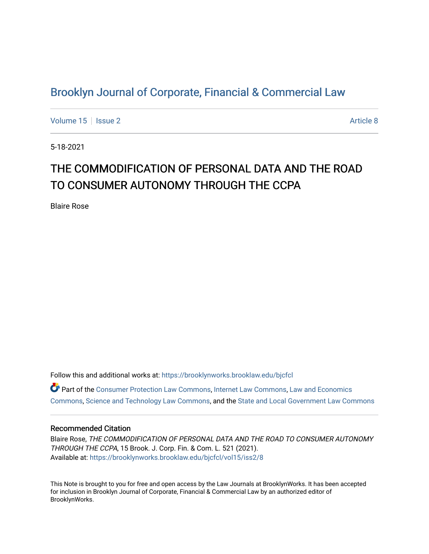## [Brooklyn Journal of Corporate, Financial & Commercial Law](https://brooklynworks.brooklaw.edu/bjcfcl)

[Volume 15](https://brooklynworks.brooklaw.edu/bjcfcl/vol15) | [Issue 2](https://brooklynworks.brooklaw.edu/bjcfcl/vol15/iss2) Article 8

5-18-2021

# THE COMMODIFICATION OF PERSONAL DATA AND THE ROAD TO CONSUMER AUTONOMY THROUGH THE CCPA

Blaire Rose

Follow this and additional works at: [https://brooklynworks.brooklaw.edu/bjcfcl](https://brooklynworks.brooklaw.edu/bjcfcl?utm_source=brooklynworks.brooklaw.edu%2Fbjcfcl%2Fvol15%2Fiss2%2F8&utm_medium=PDF&utm_campaign=PDFCoverPages) Part of the [Consumer Protection Law Commons,](http://network.bepress.com/hgg/discipline/838?utm_source=brooklynworks.brooklaw.edu%2Fbjcfcl%2Fvol15%2Fiss2%2F8&utm_medium=PDF&utm_campaign=PDFCoverPages) [Internet Law Commons](http://network.bepress.com/hgg/discipline/892?utm_source=brooklynworks.brooklaw.edu%2Fbjcfcl%2Fvol15%2Fiss2%2F8&utm_medium=PDF&utm_campaign=PDFCoverPages), [Law and Economics](http://network.bepress.com/hgg/discipline/612?utm_source=brooklynworks.brooklaw.edu%2Fbjcfcl%2Fvol15%2Fiss2%2F8&utm_medium=PDF&utm_campaign=PDFCoverPages)  [Commons](http://network.bepress.com/hgg/discipline/612?utm_source=brooklynworks.brooklaw.edu%2Fbjcfcl%2Fvol15%2Fiss2%2F8&utm_medium=PDF&utm_campaign=PDFCoverPages), [Science and Technology Law Commons,](http://network.bepress.com/hgg/discipline/875?utm_source=brooklynworks.brooklaw.edu%2Fbjcfcl%2Fvol15%2Fiss2%2F8&utm_medium=PDF&utm_campaign=PDFCoverPages) and the [State and Local Government Law Commons](http://network.bepress.com/hgg/discipline/879?utm_source=brooklynworks.brooklaw.edu%2Fbjcfcl%2Fvol15%2Fiss2%2F8&utm_medium=PDF&utm_campaign=PDFCoverPages) 

## Recommended Citation

Blaire Rose, THE COMMODIFICATION OF PERSONAL DATA AND THE ROAD TO CONSUMER AUTONOMY THROUGH THE CCPA, 15 Brook. J. Corp. Fin. & Com. L. 521 (2021). Available at: [https://brooklynworks.brooklaw.edu/bjcfcl/vol15/iss2/8](https://brooklynworks.brooklaw.edu/bjcfcl/vol15/iss2/8?utm_source=brooklynworks.brooklaw.edu%2Fbjcfcl%2Fvol15%2Fiss2%2F8&utm_medium=PDF&utm_campaign=PDFCoverPages)

This Note is brought to you for free and open access by the Law Journals at BrooklynWorks. It has been accepted for inclusion in Brooklyn Journal of Corporate, Financial & Commercial Law by an authorized editor of BrooklynWorks.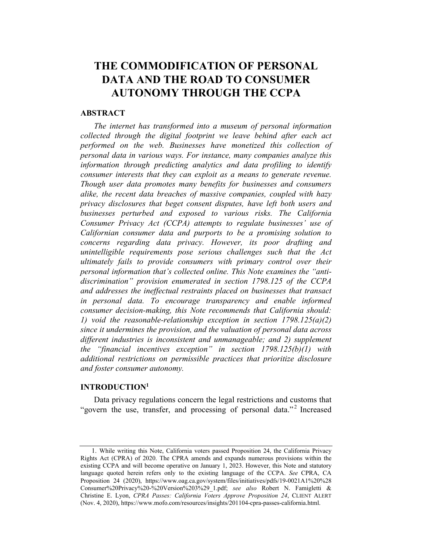## THE COMMODIFICATION OF PERSONAL DATA AND THE ROAD TO CONSUMER AUTONOMY THROUGH THE CCPA

## ABSTRACT

The internet has transformed into a museum of personal information collected through the digital footprint we leave behind after each act performed on the web. Businesses have monetized this collection of personal data in various ways. For instance, many companies analyze this information through predicting analytics and data profiling to identify consumer interests that they can exploit as a means to generate revenue. Though user data promotes many benefits for businesses and consumers alike, the recent data breaches of massive companies, coupled with hazy privacy disclosures that beget consent disputes, have left both users and businesses perturbed and exposed to various risks. The California Consumer Privacy Act (CCPA) attempts to regulate businesses' use of Californian consumer data and purports to be a promising solution to concerns regarding data privacy. However, its poor drafting and unintelligible requirements pose serious challenges such that the Act ultimately fails to provide consumers with primary control over their personal information that's collected online. This Note examines the "antidiscrimination" provision enumerated in section 1798.125 of the CCPA and addresses the ineffectual restraints placed on businesses that transact in personal data. To encourage transparency and enable informed consumer decision-making, this Note recommends that California should: 1) void the reasonable-relationship exception in section  $1798.125(a)(2)$ since it undermines the provision, and the valuation of personal data across different industries is inconsistent and unmanageable; and 2) supplement the "financial incentives exception" in section 1798.125(b)(1) with additional restrictions on permissible practices that prioritize disclosure and foster consumer autonomy.

#### INTRODUCTION1

Data privacy regulations concern the legal restrictions and customs that "govern the use, transfer, and processing of personal data."<sup>2</sup> Increased

<sup>1.</sup> While writing this Note, California voters passed Proposition 24, the California Privacy Rights Act (CPRA) of 2020. The CPRA amends and expands numerous provisions within the existing CCPA and will become operative on January 1, 2023. However, this Note and statutory language quoted herein refers only to the existing language of the CCPA. See CPRA, CA Proposition 24 (2020), https://www.oag.ca.gov/system/files/initiatives/pdfs/19-0021A1%20%28 Consumer%20Privacy%20-%20Version%203%29\_1.pdf; see also Robert N. Famigletti & Christine E. Lyon, CPRA Passes: California Voters Approve Proposition 24, CLIENT ALERT (Nov. 4, 2020), https://www.mofo.com/resources/insights/201104-cpra-passes-california.html.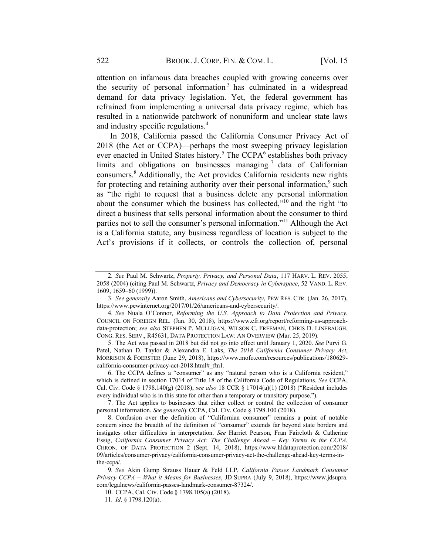attention on infamous data breaches coupled with growing concerns over the security of personal information<sup>3</sup> has culminated in a widespread demand for data privacy legislation. Yet, the federal government has refrained from implementing a universal data privacy regime, which has resulted in a nationwide patchwork of nonuniform and unclear state laws and industry specific regulations.<sup>4</sup>

In 2018, California passed the California Consumer Privacy Act of 2018 (the Act or CCPA)—perhaps the most sweeping privacy legislation ever enacted in United States history.<sup>5</sup> The CCPA $<sup>6</sup>$  establishes both privacy</sup> limits and obligations on businesses managing  $\frac{1}{2}$  data of Californian consumers.<sup>8</sup> Additionally, the Act provides California residents new rights for protecting and retaining authority over their personal information, $9$  such as "the right to request that a business delete any personal information about the consumer which the business has collected," $10$  and the right "to direct a business that sells personal information about the consumer to third parties not to sell the consumer's personal information."11 Although the Act is a California statute, any business regardless of location is subject to the Act's provisions if it collects, or controls the collection of, personal

5. The Act was passed in 2018 but did not go into effect until January 1, 2020. See Purvi G. Patel, Nathan D. Taylor & Alexandra E. Laks, The 2018 California Consumer Privacy Act, MORRISON & FOERSTER (June 29, 2018), https://www.mofo.com/resources/publications/180629 california-consumer-privacy-act-2018.html# ftn1.

6. The CCPA defines a "consumer" as any "natural person who is a California resident," which is defined in section 17014 of Title 18 of the California Code of Regulations. See CCPA, Cal. Civ. Code § 1798.140(g) (2018); see also 18 CCR § 17014(a)(1) (2018) ("Resident includes every individual who is in this state for other than a temporary or transitory purpose.").

7. The Act applies to businesses that either collect or control the collection of consumer personal information. See generally CCPA, Cal. Civ. Code § 1798.100 (2018).

8. Confusion over the definition of "Californian consumer" remains a point of notable concern since the breadth of the definition of "consumer" extends far beyond state borders and instigates other difficulties in interpretation. See Harriet Pearson, Fran Faircloth & Catherine Essig, California Consumer Privacy Act: The Challenge Ahead – Key Terms in the CCPA, CHRON. OF DATA PROTECTION 2 (Sept. 14, 2018), https://www.hldataprotection.com/2018/ 09/articles/consumer-privacy/california-consumer-privacy-act-the-challenge-ahead-key-terms-inthe-ccpa/.

9. See Akin Gump Strauss Hauer & Feld LLP, California Passes Landmark Consumer Privacy CCPA – What it Means for Businesses, JD SUPRA (July 9, 2018), https://www.jdsupra. com/legalnews/california-passes-landmark-consumer-87324/.

10. CCPA, Cal. Civ. Code § 1798.105(a) (2018).

<sup>2</sup>. See Paul M. Schwartz, Property, Privacy, and Personal Data, 117 HARV. L. REV. 2055, 2058 (2004) (citing Paul M. Schwartz, Privacy and Democracy in Cyberspace, 52 VAND. L. REV. 1609, 1659–60 (1999)).

<sup>3</sup>. See generally Aaron Smith, Americans and Cybersecurity, PEW RES. CTR. (Jan. 26, 2017), https://www.pewinternet.org/2017/01/26/americans-and-cybersecurity/.

<sup>4</sup>. See Nuala O'Connor, Reforming the U.S. Approach to Data Protection and Privacy, COUNCIL ON FOREIGN REL. (Jan. 30, 2018), https://www.cfr.org/report/reforming-us-approachdata-protection; see also STEPHEN P. MULLIGAN, WILSON C. FREEMAN, CHRIS D. LINEBAUGH, CONG. RES. SERV., R45631, DATA PROTECTION LAW: AN OVERVIEW (Mar. 25, 2019).

<sup>11</sup>. Id. § 1798.120(a).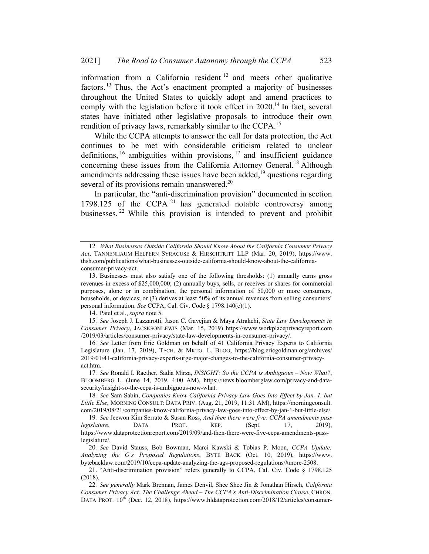information from a California resident <sup>12</sup> and meets other qualitative factors.<sup>13</sup> Thus, the Act's enactment prompted a majority of businesses throughout the United States to quickly adopt and amend practices to comply with the legislation before it took effect in 2020.<sup>14</sup> In fact, several states have initiated other legislative proposals to introduce their own rendition of privacy laws, remarkably similar to the CCPA.<sup>15</sup>

While the CCPA attempts to answer the call for data protection, the Act continues to be met with considerable criticism related to unclear definitions,  $16$  ambiguities within provisions,  $17$  and insufficient guidance concerning these issues from the California Attorney General.<sup>18</sup> Although amendments addressing these issues have been added,<sup>19</sup> questions regarding several of its provisions remain unanswered.<sup>20</sup>

In particular, the "anti-discrimination provision" documented in section 1798.125 of the CCPA  $^{21}$  has generated notable controversy among businesses. <sup>22</sup> While this provision is intended to prevent and prohibit

14. Patel et al., supra note 5.

15. See Joseph J. Lazzarotti, Jason C. Gavejian & Maya Atrakchi, State Law Developments in Consumer Privacy, JACSKSONLEWIS (Mar. 15, 2019) https://www.workplaceprivacyreport.com /2019/03/articles/consumer-privacy/state-law-developments-in-consumer-privacy/.

16. See Letter from Eric Goldman on behalf of 41 California Privacy Experts to California Legislature (Jan. 17, 2019), TECH. & MKTG. L. BLOG, https://blog.ericgoldman.org/archives/ 2019/01/41-california-privacy-experts-urge-major-changes-to-the-california-consumer-privacyact.htm.

17. See Ronald I. Raether, Sadia Mirza, INSIGHT: So the CCPA is Ambiguous – Now What?, BLOOMBERG L. (June 14, 2019, 4:00 AM), https://news.bloomberglaw.com/privacy-and-datasecurity/insight-so-the-ccpa-is-ambiguous-now-what.

18. See Sam Sabin, Companies Know California Privacy Law Goes Into Effect by Jan. 1, but Little Else, MORNING CONSULT: DATA PRIV. (Aug. 21, 2019, 11:31 AM), https://morningconsult. com/2019/08/21/companies-know-california-privacy-law-goes-into-effect-by-jan-1-but-little-else/.

19. See Jeewon Kim Serrato & Susan Ross, And then there were five: CCPA amendments pass legislature, DATA PROT. REP. (Sept. 17, 2019), https://www.dataprotectionreport.com/2019/09/and-then-there-were-five-ccpa-amendments-passlegislature/.

20. See David Stauss, Bob Bowman, Marci Kawski & Tobias P. Moon, CCPA Update: Analyzing the G's Proposed Regulations, BYTE BACK (Oct. 10, 2019), https://www. bytebacklaw.com/2019/10/ccpa-update-analyzing-the-ags-proposed-regulations/#more-2508.

21. "Anti-discrimination provision" refers generally to CCPA, Cal. Civ. Code § 1798.125 (2018).

<sup>12</sup>. What Businesses Outside California Should Know About the California Consumer Privacy Act, TANNENHAUM HELPERN SYRACUSE & HIRSCHTRITT LLP (Mar. 20, 2019), https://www. thsh.com/publications/what-businesses-outside-california-should-know-about-the-californiaconsumer-privacy-act.

<sup>13.</sup> Businesses must also satisfy one of the following thresholds: (1) annually earns gross revenues in excess of \$25,000,000; (2) annually buys, sells, or receives or shares for commercial purposes, alone or in combination, the personal information of 50,000 or more consumers, households, or devices; or (3) derives at least 50% of its annual revenues from selling consumers' personal information. See CCPA, Cal. Civ. Code § 1798.140(c)(1).

<sup>22.</sup> See generally Mark Brennan, James Denvil, Shee Shee Jin & Jonathan Hirsch, California Consumer Privacy Act: The Challenge Ahead – The CCPA's Anti-Discrimination Clause, CHRON. DATA PROT. 10<sup>th</sup> (Dec. 12, 2018), https://www.hldataprotection.com/2018/12/articles/consumer-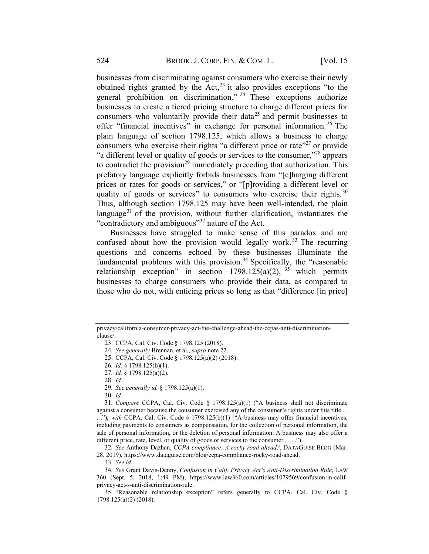businesses from discriminating against consumers who exercise their newly obtained rights granted by the  $Act, <sup>23</sup>$  it also provides exceptions "to the general prohibition on discrimination." <sup>24</sup> These exceptions authorize businesses to create a tiered pricing structure to charge different prices for consumers who voluntarily provide their data<sup>25</sup> and permit businesses to offer "financial incentives" in exchange for personal information.<sup>26</sup> The plain language of section 1798.125, which allows a business to charge consumers who exercise their rights "a different price or rate"<sup>27</sup> or provide "a different level or quality of goods or services to the consumer,"<sup>28</sup> appears to contradict the provision<sup>29</sup> immediately preceding that authorization. This prefatory language explicitly forbids businesses from "[c]harging different prices or rates for goods or services," or "[p]roviding a different level or quality of goods or services" to consumers who exercise their rights.<sup>30</sup> Thus, although section 1798.125 may have been well-intended, the plain language<sup>31</sup> of the provision, without further clarification, instantiates the "contradictory and ambiguous"32 nature of the Act.

Businesses have struggled to make sense of this paradox and are confused about how the provision would legally work.<sup>33</sup> The recurring questions and concerns echoed by these businesses illuminate the fundamental problems with this provision.<sup>34</sup> Specifically, the "reasonable" relationship exception" in section  $1798.125(a)(2)$ , <sup>35</sup> which permits businesses to charge consumers who provide their data, as compared to those who do not, with enticing prices so long as that "difference [in price]

28. Id.

30. Id.

32. See Anthony Dazhan, CCPA compliance: A rocky road ahead?, DATAGUISE BLOG (Mar. 28, 2019), https://www.dataguise.com/blog/ccpa-compliance-rocky-road-ahead.

33. See id.

34. See Grant Davis-Denny, Confusion in Calif. Privacy Act's Anti-Discrimination Rule, LAW 360 (Sept. 5, 2018, 1:49 PM), https://www.law360.com/articles/1079569/confusion-in-califprivacy-act-s-anti-discrimination-rule.

35. "Reasonable relationship exception" refers generally to CCPA, Cal. Civ. Code § 1798.125(a)(2) (2018).

privacy/california-consumer-privacy-act-the-challenge-ahead-the-ccpas-anti-discriminationclause/.

<sup>23.</sup> CCPA, Cal. Civ. Code § 1798.125 (2018).

<sup>24</sup>. See generally Brennan, et al., supra note 22.

<sup>25.</sup> CCPA, Cal. Civ. Code § 1798.125(a)(2) (2018).

<sup>26</sup>. Id. § 1798.125(b)(1).

<sup>27</sup>. Id. § 1798.125(a)(2).

<sup>29</sup>. See generally id. § 1798.125(a)(1).

<sup>31</sup>. Compare CCPA, Cal. Civ. Code § 1798.125(a)(1) ("A business shall not discriminate against a consumer because the consumer exercised any of the consumer's rights under this title . . . ."), with CCPA, Cal. Civ. Code § 1798.125(b)(1) ("A business may offer financial incentives, including payments to consumers as compensation, for the collection of personal information, the sale of personal information, or the deletion of personal information. A business may also offer a different price, rate, level, or quality of goods or services to the consumer . . . .").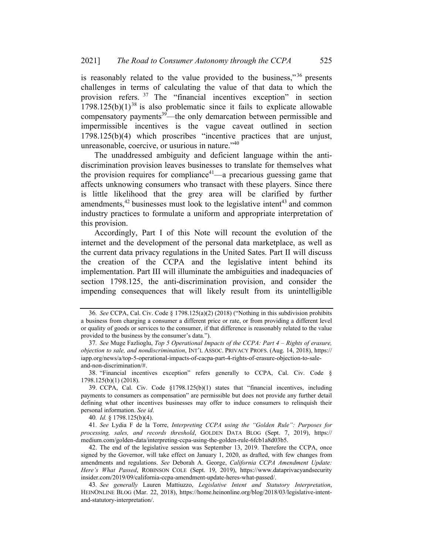is reasonably related to the value provided to the business,"  $36$  presents challenges in terms of calculating the value of that data to which the provision refers. <sup>37</sup> The "financial incentives exception" in section  $1798.125(b)(1)^{38}$  is also problematic since it fails to explicate allowable compensatory payments $39$ —the only demarcation between permissible and impermissible incentives is the vague caveat outlined in section 1798.125(b)(4) which proscribes "incentive practices that are unjust, unreasonable, coercive, or usurious in nature."40

The unaddressed ambiguity and deficient language within the antidiscrimination provision leaves businesses to translate for themselves what the provision requires for compliance<sup>41</sup>—a precarious guessing game that affects unknowing consumers who transact with these players. Since there is little likelihood that the grey area will be clarified by further amendments, $42$  businesses must look to the legislative intent $43$  and common industry practices to formulate a uniform and appropriate interpretation of this provision.

Accordingly, Part I of this Note will recount the evolution of the internet and the development of the personal data marketplace, as well as the current data privacy regulations in the United Sates. Part II will discuss the creation of the CCPA and the legislative intent behind its implementation. Part III will illuminate the ambiguities and inadequacies of section 1798.125, the anti-discrimination provision, and consider the impending consequences that will likely result from its unintelligible

40. Id. § 1798.125(b)(4).

41. See Lydia F de la Torre, Interpreting CCPA using the "Golden Rule": Purposes for processing, sales, and records threshold, GOLDEN DATA BLOG (Sept. 7, 2019), https:// medium.com/golden-data/interpreting-ccpa-using-the-golden-rule-6fcb1a8d03b5.

42. The end of the legislative session was September 13, 2019. Therefore the CCPA, once signed by the Governor, will take effect on January 1, 2020, as drafted, with few changes from amendments and regulations. See Deborah A. George, California CCPA Amendment Update: Here's What Passed, ROBINSON COLE (Sept. 19, 2019), https://www.dataprivacyandsecurity insider.com/2019/09/california-ccpa-amendment-update-heres-what-passed/.

<sup>36</sup>. See CCPA, Cal. Civ. Code § 1798.125(a)(2) (2018) ("Nothing in this subdivision prohibits a business from charging a consumer a different price or rate, or from providing a different level or quality of goods or services to the consumer, if that difference is reasonably related to the value provided to the business by the consumer's data.").

<sup>37</sup>. See Muge Fazlioglu, Top 5 Operational Impacts of the CCPA: Part 4 – Rights of erasure, objection to sale, and nondiscrimination, INT'L ASSOC. PRIVACY PROFS. (Aug. 14, 2018), https:// iapp.org/news/a/top-5-operational-impacts-of-cacpa-part-4-rights-of-erasure-objection-to-saleand-non-discrimination/#.

<sup>38.</sup> "Financial incentives exception" refers generally to CCPA, Cal. Civ. Code § 1798.125(b)(1) (2018).

<sup>39.</sup> CCPA, Cal. Civ. Code §1798.125(b)(1) states that "financial incentives, including payments to consumers as compensation" are permissible but does not provide any further detail defining what other incentives businesses may offer to induce consumers to relinquish their personal information. See id.

<sup>43</sup>. See generally Lauren Mattiuzzo, Legislative Intent and Statutory Interpretation, HEINONLINE BLOG (Mar. 22, 2018), https://home.heinonline.org/blog/2018/03/legislative-intentand-statutory-interpretation/.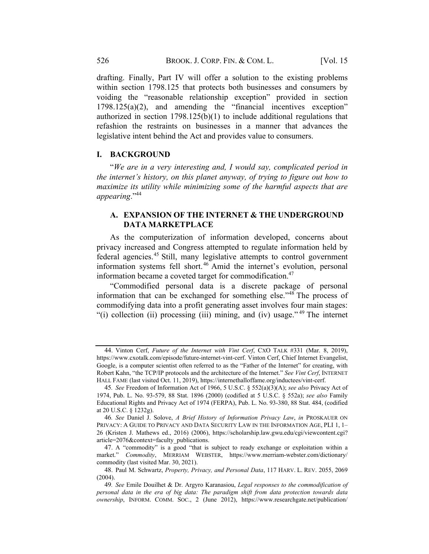drafting. Finally, Part IV will offer a solution to the existing problems within section 1798.125 that protects both businesses and consumers by voiding the "reasonable relationship exception" provided in section 1798.125(a)(2), and amending the "financial incentives exception" authorized in section  $1798.125(b)(1)$  to include additional regulations that refashion the restraints on businesses in a manner that advances the legislative intent behind the Act and provides value to consumers.

### I. BACKGROUND

"We are in a very interesting and, I would say, complicated period in the internet's history, on this planet anyway, of trying to figure out how to maximize its utility while minimizing some of the harmful aspects that are appearing."<sup>44</sup>

## A. EXPANSION OF THE INTERNET & THE UNDERGROUND DATA MARKETPLACE

As the computerization of information developed, concerns about privacy increased and Congress attempted to regulate information held by federal agencies.<sup>45</sup> Still, many legislative attempts to control government information systems fell short.<sup>46</sup> Amid the internet's evolution, personal information became a coveted target for commodification.<sup>47</sup>

"Commodified personal data is a discrete package of personal information that can be exchanged for something else."<sup>48</sup> The process of commodifying data into a profit generating asset involves four main stages: "(i) collection (ii) processing (iii) mining, and (iv) usage."<sup>49</sup> The internet

<sup>44.</sup> Vinton Cerf, Future of the Internet with Vint Cerf, CXO TALK #331 (Mar. 8, 2019), https://www.cxotalk.com/episode/future-internet-vint-cerf. Vinton Cerf, Chief Internet Evangelist, Google, is a computer scientist often referred to as the "Father of the Internet" for creating, with Robert Kahn, "the TCP/IP protocols and the architecture of the Internet." See Vint Cerf, INTERNET HALL FAME (last visited Oct. 11, 2019), https://internethalloffame.org/inductees/vint-cerf.

<sup>45</sup>. See Freedom of Information Act of 1966, 5 U.S.C. § 552(a)(3)(A); see also Privacy Act of 1974, Pub. L. No. 93-579, 88 Stat. 1896 (2000) (codified at 5 U.S.C. § 552a); see also Family Educational Rights and Privacy Act of 1974 (FERPA), Pub. L. No. 93-380, 88 Stat. 484, (codified at 20 U.S.C. § 1232g).

<sup>46</sup>. See Daniel J. Solove, A Brief History of Information Privacy Law, in PROSKAUER ON PRIVACY: A GUIDE TO PRIVACY AND DATA SECURITY LAW IN THE INFORMATION AGE, PLI 1, 1– 26 (Kristen J. Mathews ed., 2016) (2006), https://scholarship.law.gwu.edu/cgi/viewcontent.cgi? article=2076&context=faculty\_publications.

<sup>47.</sup> A "commodity" is a good "that is subject to ready exchange or exploitation within a market." Commodity, MERRIAM WEBSTER, https://www.merriam-webster.com/dictionary/ commodity (last visited Mar. 30, 2021).

<sup>48.</sup> Paul M. Schwartz, Property, Privacy, and Personal Data, 117 HARV. L. REV. 2055, 2069 (2004).

<sup>49.</sup> See Emile Douilhet & Dr. Argyro Karanasiou, Legal responses to the commodification of personal data in the era of big data: The paradigm shift from data protection towards data ownership, INFORM. COMM. SOC., 2 (June 2012), https://www.researchgate.net/publication/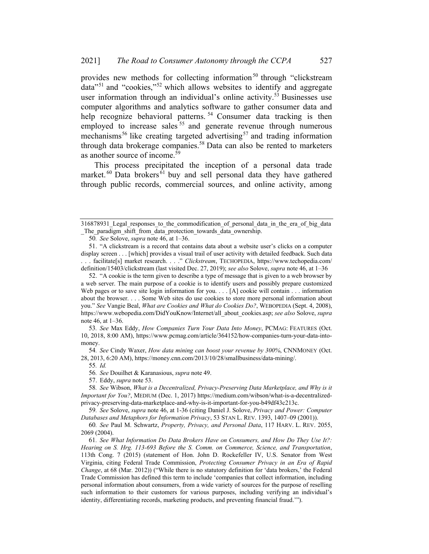provides new methods for collecting information<sup>50</sup> through "clickstream" data"<sup>51</sup> and "cookies,"<sup>52</sup> which allows websites to identify and aggregate user information through an individual's online activity.<sup>53</sup> Businesses use computer algorithms and analytics software to gather consumer data and help recognize behavioral patterns.<sup>54</sup> Consumer data tracking is then employed to increase sales  $55$  and generate revenue through numerous mechanisms<sup>56</sup> like creating targeted advertising<sup>57</sup> and trading information through data brokerage companies.<sup>58</sup> Data can also be rented to marketers as another source of income.<sup>59</sup>

This process precipitated the inception of a personal data trade market.<sup>60</sup> Data brokers<sup>61</sup> buy and sell personal data they have gathered through public records, commercial sources, and online activity, among

52. "A cookie is the term given to describe a type of message that is given to a web browser by a web server. The main purpose of a cookie is to identify users and possibly prepare customized Web pages or to save site login information for you. . . . [A] cookie will contain . . . information about the browser. . . . Some Web sites do use cookies to store more personal information about you." See Vangie Beal, What are Cookies and What do Cookies Do?, WEBOPEDIA (Sept. 4, 2008), https://www.webopedia.com/DidYouKnow/Internet/all\_about\_cookies.asp; see also Solove, supra note 46, at 1–36.

53. See Max Eddy, How Companies Turn Your Data Into Money, PCMAG: FEATURES (Oct. 10, 2018, 8:00 AM), https://www.pcmag.com/article/364152/how-companies-turn-your-data-intomoney.

54. See Cindy Waxer, How data mining can boost your revenue by 300%, CNNMONEY (Oct. 28, 2013, 6:20 AM), https://money.cnn.com/2013/10/28/smallbusiness/data-mining/.

55. Id.

56. See Douilhet & Karanasious, supra note 49.

57. Eddy, supra note 53.

58. See Wibson, What is a Decentralized, Privacy-Preserving Data Marketplace, and Why is it Important for You?, MEDIUM (Dec. 1, 2017) https://medium.com/wibson/what-is-a-decentralizedprivacy-preserving-data-marketplace-and-why-is-it-important-for-you-b49df43c213c.

59. See Solove, supra note 46, at 1-36 (citing Daniel J. Solove, Privacy and Power: Computer Databases and Metaphors for Information Privacy, 53 STAN L. REV. 1393, 1407-09 (2001)).

60. See Paul M. Schwartz, Property, Privacy, and Personal Data, 117 HARV. L. REV. 2055, 2069 (2004).

61. See What Information Do Data Brokers Have on Consumers, and How Do They Use It?: Hearing on S. Hrg. 113-693 Before the S. Comm. on Commerce, Science, and Transportation, 113th Cong. 7 (2015) (statement of Hon. John D. Rockefeller IV, U.S. Senator from West Virginia, citing Federal Trade Commission, Protecting Consumer Privacy in an Era of Rapid Change, at 68 (Mar. 2012)) ("While there is no statutory definition for 'data brokers,' the Federal Trade Commission has defined this term to include 'companies that collect information, including personal information about consumers, from a wide variety of sources for the purpose of reselling such information to their customers for various purposes, including verifying an individual's identity, differentiating records, marketing products, and preventing financial fraud.'").

<sup>316878931</sup> Legal responses to the commodification of personal data in the era of big data \_The\_paradigm\_shift\_from\_data\_protection\_towards\_data\_ownership.

<sup>50</sup>. See Solove, supra note 46, at 1–36.

<sup>51.</sup> "A clickstream is a record that contains data about a website user's clicks on a computer display screen . . . [which] provides a visual trail of user activity with detailed feedback. Such data ... facilitate[s] market research...." Clickstream, TECHOPEDIA, https://www.techopedia.com/ definition/15403/clickstream (last visited Dec. 27, 2019); see also Solove, supra note 46, at 1–36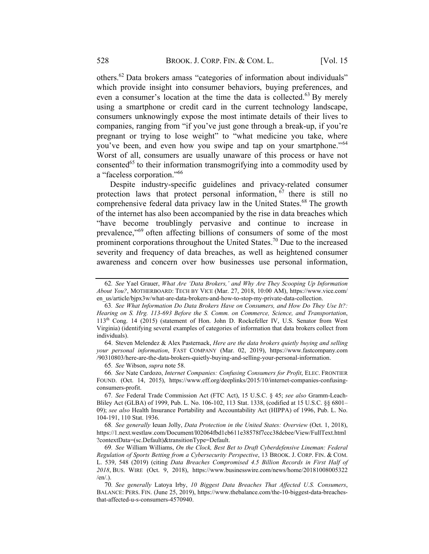others.<sup>62</sup> Data brokers amass "categories of information about individuals" which provide insight into consumer behaviors, buying preferences, and even a consumer's location at the time the data is collected.<sup>63</sup> By merely using a smartphone or credit card in the current technology landscape, consumers unknowingly expose the most intimate details of their lives to companies, ranging from "if you've just gone through a break-up, if you're pregnant or trying to lose weight" to "what medicine you take, where you've been, and even how you swipe and tap on your smartphone."<sup>64</sup> Worst of all, consumers are usually unaware of this process or have not consented<sup>65</sup> to their information transmogrifying into a commodity used by a "faceless corporation."66

Despite industry-specific guidelines and privacy-related consumer protection laws that protect personal information,  $67$  there is still no comprehensive federal data privacy law in the United States.<sup>68</sup> The growth of the internet has also been accompanied by the rise in data breaches which "have become troublingly pervasive and continue to increase in prevalence,"<sup>69</sup> often affecting billions of consumers of some of the most prominent corporations throughout the United States.<sup>70</sup> Due to the increased severity and frequency of data breaches, as well as heightened consumer awareness and concern over how businesses use personal information,

64. Steven Melendez & Alex Pasternack, Here are the data brokers quietly buying and selling your personal information, FAST COMPANY (Mar. 02, 2019), https://www.fastcompany.com /90310803/here-are-the-data-brokers-quietly-buying-and-selling-your-personal-information.

65. See Wibson, supra note 58.

<sup>62</sup>. See Yael Grauer, What Are 'Data Brokers,' and Why Are They Scooping Up Information About You?, MOTHERBOARD: TECH BY VICE (Mar. 27, 2018, 10:00 AM), https://www.vice.com/ en\_us/article/bjpx3w/what-are-data-brokers-and-how-to-stop-my-private-data-collection.

<sup>63</sup>. See What Information Do Data Brokers Have on Consumers, and How Do They Use It?: Hearing on S. Hrg. 113-693 Before the S. Comm. on Commerce, Science, and Transportation, 113th Cong. 14 (2015) (statement of Hon. John D. Rockefeller IV, U.S. Senator from West Virginia) (identifying several examples of categories of information that data brokers collect from individuals).

<sup>66</sup>. See Nate Cardozo, Internet Companies: Confusing Consumers for Profit, ELEC. FRONTIER FOUND. (Oct. 14, 2015), https://www.eff.org/deeplinks/2015/10/internet-companies-confusingconsumers-profit.

<sup>67</sup>. See Federal Trade Commission Act (FTC Act), 15 U.S.C. § 45; see also Gramm-Leach-Bliley Act (GLBA) of 1999, Pub. L. No. 106-102, 113 Stat. 1338, (codified at 15 U.S.C. §§ 6801– 09); see also Health Insurance Portability and Accountability Act (HIPPA) of 1996, Pub. L. No. 104-191, 110 Stat. 1936.

<sup>68</sup>. See generally Ieuan Jolly, Data Protection in the United States: Overview (Oct. 1, 2018), https://1.next.westlaw.com/Document/I02064fbd1cb611e38578f7ccc38dcbee/View/FullText.html ?contextData=(sc.Default)&transitionType=Default.

<sup>69</sup>. See William Williams, On the Clock, Best Bet to Draft Cyberdefensive Lineman: Federal Regulation of Sports Betting from a Cybersecurity Perspective, 13 BROOK. J. CORP. FIN. & COM. L. 539, 548 (2019) (citing Data Breaches Compromised 4.5 Billion Records in First Half of 2018, BUS. WIRE (Oct. 9, 2018), https://www.businesswire.com/news/home/20181008005322 /en/.).

<sup>70</sup>. See generally Latoya Irby, 10 Biggest Data Breaches That Affected U.S. Consumers, BALANCE: PERS. FIN. (June 25, 2019), https://www.thebalance.com/the-10-biggest-data-breachesthat-affected-u-s-consumers-4570940.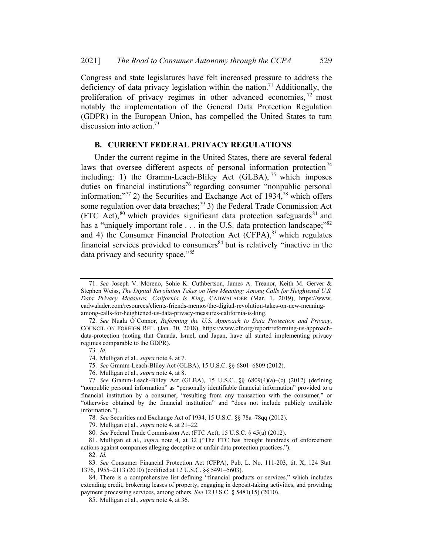Congress and state legislatures have felt increased pressure to address the deficiency of data privacy legislation within the nation.<sup>71</sup> Additionally, the proliferation of privacy regimes in other advanced economies, <sup>72</sup> most notably the implementation of the General Data Protection Regulation (GDPR) in the European Union, has compelled the United States to turn discussion into action.<sup>73</sup>

#### B. CURRENT FEDERAL PRIVACY REGULATIONS

Under the current regime in the United States, there are several federal laws that oversee different aspects of personal information protection<sup>74</sup> including: 1) the Gramm-Leach-Bliley Act (GLBA),  $^{75}$  which imposes duties on financial institutions<sup>76</sup> regarding consumer "nonpublic personal information;"<sup>77</sup> 2) the Securities and Exchange Act of 1934,<sup>78</sup> which offers some regulation over data breaches;<sup>79</sup> 3) the Federal Trade Commission Act (FTC Act),  $80$  which provides significant data protection safeguards  $81$  and has a "uniquely important role . . . in the U.S. data protection landscape;"<sup>82</sup> and 4) the Consumer Financial Protection Act  $(CFPA)$ ,<sup>83</sup> which regulates financial services provided to consumers <sup>84</sup> but is relatively "inactive in the data privacy and security space."<sup>85</sup>

81. Mulligan et al., supra note 4, at 32 ("The FTC has brought hundreds of enforcement actions against companies alleging deceptive or unfair data protection practices.").

<sup>71</sup>. See Joseph V. Moreno, Sohie K. Cuthbertson, James A. Treanor, Keith M. Gerver & Stephen Weiss, The Digital Revolution Takes on New Meaning: Among Calls for Heightened U.S. Data Privacy Measures, California is King, CADWALADER (Mar. 1, 2019), https://www. cadwalader.com/resources/clients-friends-memos/the-digital-revolution-takes-on-new-meaningamong-calls-for-heightened-us-data-privacy-measures-california-is-king.

<sup>72</sup>. See Nuala O'Connor, Reforming the U.S. Approach to Data Protection and Privacy, COUNCIL ON FOREIGN REL. (Jan. 30, 2018), https://www.cfr.org/report/reforming-us-approachdata-protection (noting that Canada, Israel, and Japan, have all started implementing privacy regimes comparable to the GDPR).

<sup>73</sup>. Id.

<sup>74.</sup> Mulligan et al., supra note 4, at 7.

<sup>75</sup>. See Gramm-Leach-Bliley Act (GLBA), 15 U.S.C. §§ 6801–6809 (2012).

<sup>76.</sup> Mulligan et al., supra note 4, at 8.

<sup>77</sup>. See Gramm-Leach-Bliley Act (GLBA), 15 U.S.C. §§ 6809(4)(a)–(c) (2012) (defining "nonpublic personal information" as "personally identifiable financial information" provided to a financial institution by a consumer, "resulting from any transaction with the consumer," or "otherwise obtained by the financial institution" and "does not include publicly available information.").

<sup>78</sup>. See Securities and Exchange Act of 1934, 15 U.S.C. §§ 78a–78qq (2012).

<sup>79.</sup> Mulligan et al., supra note 4, at 21–22.

<sup>80</sup>. See Federal Trade Commission Act (FTC Act), 15 U.S.C. § 45(a) (2012).

<sup>82</sup>. Id.

<sup>83</sup>. See Consumer Financial Protection Act (CFPA), Pub. L. No. 111-203, tit. X, 124 Stat. 1376, 1955–2113 (2010) (codified at 12 U.S.C. §§ 5491–5603).

<sup>84.</sup> There is a comprehensive list defining "financial products or services," which includes extending credit, brokering leases of property, engaging in deposit-taking activities, and providing payment processing services, among others. See 12 U.S.C. § 5481(15) (2010).

<sup>85.</sup> Mulligan et al., supra note 4, at 36.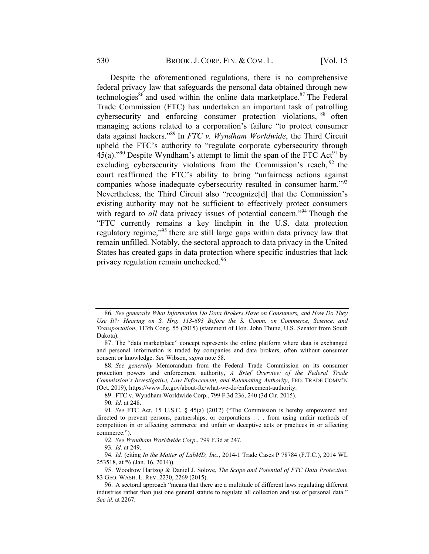Despite the aforementioned regulations, there is no comprehensive federal privacy law that safeguards the personal data obtained through new technologies<sup>86</sup> and used within the online data marketplace.<sup>87</sup> The Federal Trade Commission (FTC) has undertaken an important task of patrolling cybersecurity and enforcing consumer protection violations, <sup>88</sup> often managing actions related to a corporation's failure "to protect consumer data against hackers."<sup>89</sup> In *FTC v. Wyndham Worldwide*, the Third Circuit upheld the FTC's authority to "regulate corporate cybersecurity through 45(a)."<sup>90</sup> Despite Wyndham's attempt to limit the span of the FTC Act<sup>91</sup> by excluding cybersecurity violations from the Commission's reach,  $92$  the court reaffirmed the FTC's ability to bring "unfairness actions against companies whose inadequate cybersecurity resulted in consumer harm."<sup>93</sup> Nevertheless, the Third Circuit also "recognize[d] that the Commission's existing authority may not be sufficient to effectively protect consumers with regard to *all* data privacy issues of potential concern."<sup>94</sup> Though the "FTC currently remains a key linchpin in the U.S. data protection regulatory regime,"<sup>95</sup> there are still large gaps within data privacy law that remain unfilled. Notably, the sectoral approach to data privacy in the United States has created gaps in data protection where specific industries that lack privacy regulation remain unchecked.96

<sup>86</sup>. See generally What Information Do Data Brokers Have on Consumers, and How Do They Use It?: Hearing on S. Hrg. 113-693 Before the S. Comm. on Commerce, Science, and Transportation, 113th Cong. 55 (2015) (statement of Hon. John Thune, U.S. Senator from South Dakota).

<sup>87.</sup> The "data marketplace" concept represents the online platform where data is exchanged and personal information is traded by companies and data brokers, often without consumer consent or knowledge. See Wibson, supra note 58.

<sup>88</sup>. See generally Memorandum from the Federal Trade Commission on its consumer protection powers and enforcement authority, A Brief Overview of the Federal Trade Commission's Investigative, Law Enforcement, and Rulemaking Authority, FED. TRADE COMM'N (Oct. 2019), https://www.ftc.gov/about-ftc/what-we-do/enforcement-authority.

<sup>89.</sup> FTC v. Wyndham Worldwide Corp., 799 F.3d 236, 240 (3d Cir. 2015).

<sup>90</sup>. Id. at 248.

<sup>91</sup>. See FTC Act, 15 U.S.C. § 45(a) (2012) ("The Commission is hereby empowered and directed to prevent persons, partnerships, or corporations . . . from using unfair methods of competition in or affecting commerce and unfair or deceptive acts or practices in or affecting commerce.").

<sup>92</sup>. See Wyndham Worldwide Corp., 799 F.3d at 247.

<sup>93</sup>. Id. at 249.

<sup>94</sup>. Id. (citing In the Matter of LabMD, Inc., 2014-1 Trade Cases P 78784 (F.T.C.), 2014 WL 253518, at \*6 (Jan. 16, 2014)).

<sup>95.</sup> Woodrow Hartzog & Daniel J. Solove, The Scope and Potential of FTC Data Protection, 83 GEO. WASH. L. REV. 2230, 2269 (2015).

<sup>96.</sup> A sectoral approach "means that there are a multitude of different laws regulating different industries rather than just one general statute to regulate all collection and use of personal data." See id. at 2267.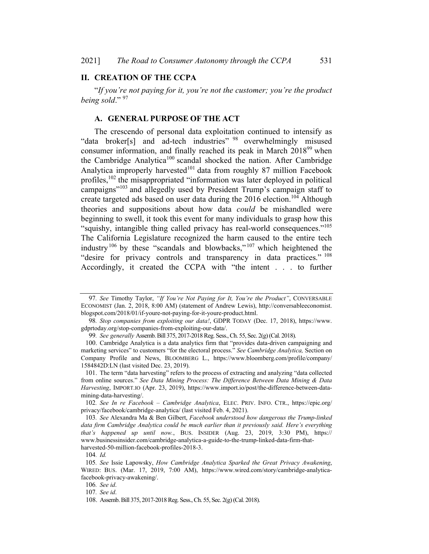#### II. CREATION OF THE CCPA

"If you're not paying for it, you're not the customer; you're the product being sold." $97$ 

#### A. GENERAL PURPOSE OF THE ACT

The crescendo of personal data exploitation continued to intensify as "data broker[s] and ad-tech industries" <sup>98</sup> overwhelmingly misused consumer information, and finally reached its peak in March 2018<sup>99</sup> when the Cambridge Analytica<sup>100</sup> scandal shocked the nation. After Cambridge Analytica improperly harvested<sup>101</sup> data from roughly 87 million Facebook profiles, <sup>102</sup> the misappropriated "information was later deployed in political campaigns"<sup>103</sup> and allegedly used by President Trump's campaign staff to create targeted ads based on user data during the 2016 election.<sup>104</sup> Although theories and suppositions about how data could be mishandled were beginning to swell, it took this event for many individuals to grasp how this "squishy, intangible thing called privacy has real-world consequences."<sup>105</sup> The California Legislature recognized the harm caused to the entire tech industry<sup>106</sup> by these "scandals and blowbacks,"  $107$  which heightened the "desire for privacy controls and transparency in data practices." <sup>108</sup> Accordingly, it created the CCPA with "the intent . . . to further

<sup>97.</sup> See Timothy Taylor, "If You're Not Paying for It, You're the Product", CONVERSABLE ECONOMIST (Jan. 2, 2018, 8:00 AM) (statement of Andrew Lewis), http://conversableeconomist. blogspot.com/2018/01/if-youre-not-paying-for-it-youre-product.html.

<sup>98</sup>. Stop companies from exploiting our data!, GDPR TODAY (Dec. 17, 2018), https://www. gdprtoday.org/stop-companies-from-exploiting-our-data/.

<sup>99</sup>. See generally Assemb.Bill 375, 2017-2018Reg. Sess.,Ch. 55, Sec. 2(g)(Cal. 2018).

<sup>100.</sup> Cambridge Analytica is a data analytics firm that "provides data-driven campaigning and marketing services" to customers "for the electoral process." See Cambridge Analytica, Section on Company Profile and News, BLOOMBERG L., https://www.bloomberg.com/profile/company/ 1584842D:LN (last visited Dec. 23, 2019).

<sup>101.</sup> The term "data harvesting" refers to the process of extracting and analyzing "data collected from online sources." See Data Mining Process: The Difference Between Data Mining & Data Harvesting, IMPORT.IO (Apr. 23, 2019), https://www.import.io/post/the-difference-between-datamining-data-harvesting/.

<sup>102</sup>. See In re Facebook – Cambridge Analytica, ELEC. PRIV. INFO. CTR., https://epic.org/ privacy/facebook/cambridge-analytica/ (last visited Feb. 4, 2021).

<sup>103</sup>. See Alexandra Ma & Ben Gilbert, Facebook understood how dangerous the Trump-linked data firm Cambridge Analytica could be much earlier than it previously said. Here's everything that's happened up until now., BUS. INSIDER (Aug. 23, 2019, 3:30 PM), https:// www.businessinsider.com/cambridge-analytica-a-guide-to-the-trump-linked-data-firm-thatharvested-50-million-facebook-profiles-2018-3.

<sup>104</sup>. Id.

<sup>105</sup>. See Issie Lapowsky, How Cambridge Analytica Sparked the Great Privacy Awakening, WIRED: BUS. (Mar. 17, 2019, 7:00 AM), https://www.wired.com/story/cambridge-analyticafacebook-privacy-awakening/.

<sup>106</sup>. See id.

<sup>107</sup>. See id.

<sup>108.</sup> Assemb.Bill 375, 2017-2018Reg. Sess.,Ch. 55, Sec. 2(g)(Cal. 2018).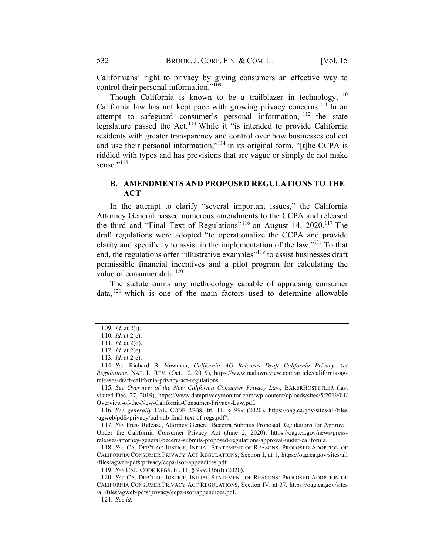Californians' right to privacy by giving consumers an effective way to control their personal information."<sup>109</sup>

Though California is known to be a trailblazer in technology,  $110$ California law has not kept pace with growing privacy concerns.<sup>111</sup> In an attempt to safeguard consumer's personal information, <sup>112</sup> the state legislature passed the Act.<sup>113</sup> While it "is intended to provide California residents with greater transparency and control over how businesses collect and use their personal information,"114 in its original form, "[t]he CCPA is riddled with typos and has provisions that are vague or simply do not make sense." $^{115}$ 

## B. AMENDMENTS AND PROPOSED REGULATIONS TO THE ACT

In the attempt to clarify "several important issues," the California Attorney General passed numerous amendments to the CCPA and released the third and "Final Text of Regulations"<sup>116</sup> on August 14, 2020.<sup>117</sup> The draft regulations were adopted "to operationalize the CCPA and provide clarity and specificity to assist in the implementation of the law."118 To that end, the regulations offer "illustrative examples"<sup>119</sup> to assist businesses draft permissible financial incentives and a pilot program for calculating the value of consumer data.<sup>120</sup>

The statute omits any methodology capable of appraising consumer  $data$ ,  $^{121}$  which is one of the main factors used to determine allowable

<sup>109</sup>. Id. at 2(i).

<sup>110.</sup> *Id.* at 2(c).

<sup>111</sup>. Id. at 2(d).

<sup>112</sup>. Id. at 2(e).

<sup>113</sup>. Id. at 2(c).

<sup>114</sup>. See Richard B. Newman, California AG Releases Draft California Privacy Act Regulations, NAT. L. REV. (Oct. 12, 2019), https://www.natlawreview.com/article/california-agreleases-draft-california-privacy-act-regulations.

<sup>115</sup>. See Overview of the New California Consumer Privacy Law, BAKERHOSTETLER (last visited Dec. 27, 2019), https://www.dataprivacymonitor.com/wp-content/uploads/sites/5/2019/01/ Overview-of-the-New-California-Consumer-Privacy-Law.pdf.

<sup>116</sup>. See generally CAL. CODE REGS. tit. 11, § 999 (2020), https://oag.ca.gov/sites/all/files /agweb/pdfs/privacy/oal-sub-final-text-of-regs.pdf?.

<sup>117</sup>. See Press Release, Attorney General Becerra Submits Proposed Regulations for Approval Under the California Consumer Privacy Act (June 2, 2020), https://oag.ca.gov/news/pressreleases/attorney-general-becerra-submits-proposed-regulations-approval-under-california.

<sup>118</sup>. See CA. DEP'T OF JUSTICE, INITIAL STATEMENT OF REASONS: PROPOSED ADOPTION OF CALIFORNIA CONSUMER PRIVACY ACT REGULATIONS, Section I, at 1, https://oag.ca.gov/sites/all /files/agweb/pdfs/privacy/ccpa-isor-appendices.pdf.

<sup>119</sup>. See CAL. CODE REGS. tit. 11, § 999.336(d) (2020).

<sup>120</sup>. See CA. DEP'T OF JUSTICE, INITIAL STATEMENT OF REASONS: PROPOSED ADOPTION OF CALIFORNIA CONSUMER PRIVACY ACT REGULATIONS, Section IV, at 37, https://oag.ca.gov/sites /all/files/agweb/pdfs/privacy/ccpa-isor-appendices.pdf.

<sup>121</sup>. See id.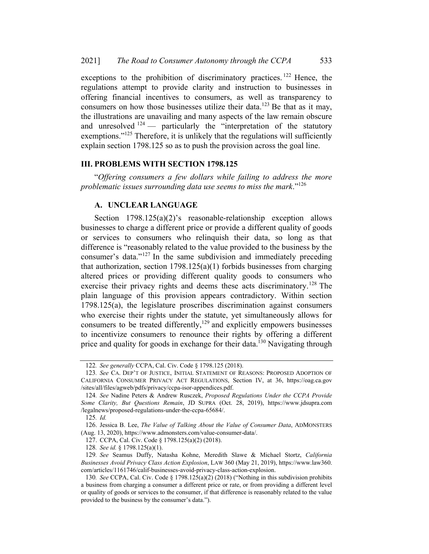exceptions to the prohibition of discriminatory practices.<sup>122</sup> Hence, the regulations attempt to provide clarity and instruction to businesses in offering financial incentives to consumers, as well as transparency to consumers on how those businesses utilize their data.<sup>123</sup> Be that as it may, the illustrations are unavailing and many aspects of the law remain obscure and unresolved  $124$  — particularly the "interpretation of the statutory exemptions."<sup>125</sup> Therefore, it is unlikely that the regulations will sufficiently explain section 1798.125 so as to push the provision across the goal line.

#### III. PROBLEMS WITH SECTION 178.125

"Offering consumers a few dollars while failing to address the more problematic issues surrounding data use seems to miss the mark." $126$ 

#### A. UNCLEAR LANGUAGE

Section 1798.125(a)(2)'s reasonable-relationship exception allows businesses to charge a different price or provide a different quality of goods or services to consumers who relinquish their data, so long as that difference is "reasonably related to the value provided to the business by the consumer's data."<sup>127</sup> In the same subdivision and immediately preceding that authorization, section 1798.125(a)(1) forbids businesses from charging altered prices or providing different quality goods to consumers who exercise their privacy rights and deems these acts discriminatory.<sup>128</sup> The plain language of this provision appears contradictory. Within section 1798.125(a), the legislature proscribes discrimination against consumers who exercise their rights under the statute, yet simultaneously allows for consumers to be treated differently, $129$  and explicitly empowers businesses to incentivize consumers to renounce their rights by offering a different price and quality for goods in exchange for their data.<sup>130</sup> Navigating through

<sup>122</sup>. See generally CCPA, Cal. Civ. Code § 1798.125 (2018).

<sup>123</sup>. See CA. DEP'T OF JUSTICE, INITIAL STATEMENT OF REASONS: PROPOSED ADOPTION OF CALIFORNIA CONSUMER PRIVACY ACT REGULATIONS, Section IV, at 36, https://oag.ca.gov /sites/all/files/agweb/pdfs/privacy/ccpa-isor-appendices.pdf.

<sup>124</sup>. See Nadine Peters & Andrew Rusczek, Proposed Regulations Under the CCPA Provide Some Clarity, But Questions Remain, JD SUPRA (Oct. 28, 2019), https://www.jdsupra.com /legalnews/proposed-regulations-under-the-ccpa-65684/.

<sup>125</sup>. Id.

<sup>126.</sup> Jessica B. Lee, The Value of Talking About the Value of Consumer Data, ADMONSTERS (Aug. 13, 2020), https://www.admonsters.com/value-consumer-data/.

<sup>127.</sup> CCPA, Cal. Civ. Code § 1798.125(a)(2) (2018).

<sup>128</sup>. See id. § 1798.125(a)(1).

<sup>129.</sup> See Seamus Duffy, Natasha Kohne, Meredith Slawe & Michael Stortz, California Businesses Avoid Privacy Class Action Explosion, LAW 360 (May 21, 2019), https://www.law360. com/articles/1161746/calif-businesses-avoid-privacy-class-action-explosion.

<sup>130</sup>. See CCPA, Cal. Civ. Code § 1798.125(a)(2) (2018) ("Nothing in this subdivision prohibits a business from charging a consumer a different price or rate, or from providing a different level or quality of goods or services to the consumer, if that difference is reasonably related to the value provided to the business by the consumer's data.").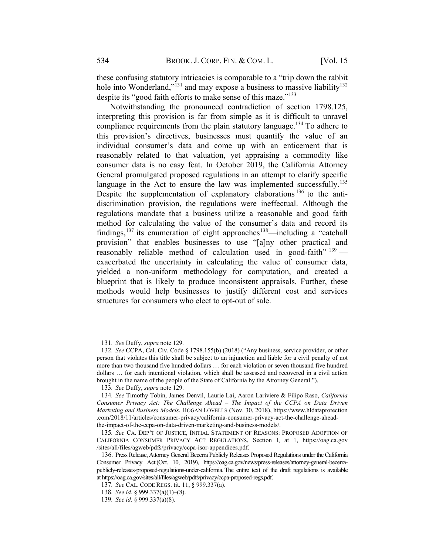these confusing statutory intricacies is comparable to a "trip down the rabbit hole into Wonderland,"<sup>131</sup> and may expose a business to massive liability<sup>132</sup> despite its "good faith efforts to make sense of this maze."<sup>133</sup>

Notwithstanding the pronounced contradiction of section 1798.125, interpreting this provision is far from simple as it is difficult to unravel compliance requirements from the plain statutory language.<sup>134</sup> To adhere to this provision's directives, businesses must quantify the value of an individual consumer's data and come up with an enticement that is reasonably related to that valuation, yet appraising a commodity like consumer data is no easy feat. In October 2019, the California Attorney General promulgated proposed regulations in an attempt to clarify specific language in the Act to ensure the law was implemented successfully.<sup>135</sup> Despite the supplementation of explanatory elaborations  $136$  to the antidiscrimination provision, the regulations were ineffectual. Although the regulations mandate that a business utilize a reasonable and good faith method for calculating the value of the consumer's data and record its findings,<sup>137</sup> its enumeration of eight approaches<sup>138</sup>—including a "catchall" provision" that enables businesses to use "[a]ny other practical and reasonably reliable method of calculation used in good-faith"  $^{139}$  exacerbated the uncertainty in calculating the value of consumer data, yielded a non-uniform methodology for computation, and created a blueprint that is likely to produce inconsistent appraisals. Further, these methods would help businesses to justify different cost and services structures for consumers who elect to opt-out of sale.

<sup>131</sup>. See Duffy, supra note 129.

<sup>132</sup>. See CCPA, Cal. Civ. Code § 1798.155(b) (2018) ("Any business, service provider, or other person that violates this title shall be subject to an injunction and liable for a civil penalty of not more than two thousand five hundred dollars … for each violation or seven thousand five hundred dollars … for each intentional violation, which shall be assessed and recovered in a civil action brought in the name of the people of the State of California by the Attorney General.").

<sup>133</sup>. See Duffy, supra note 129.

<sup>134</sup>. See Timothy Tobin, James Denvil, Laurie Lai, Aaron Lariviere & Filipo Raso, California Consumer Privacy Act: The Challenge Ahead – The Impact of the CCPA on Data Driven Marketing and Business Models, HOGAN LOVELLS (Nov. 30, 2018), https://www.hldataprotection .com/2018/11/articles/consumer-privacy/california-consumer-privacy-act-the-challenge-aheadthe-impact-of-the-ccpa-on-data-driven-marketing-and-business-models/.

<sup>135</sup>. See CA. DEP'T OF JUSTICE, INITIAL STATEMENT OF REASONS: PROPOSED ADOPTION OF CALIFORNIA CONSUMER PRIVACY ACT REGULATIONS, Section I, at 1, https://oag.ca.gov /sites/all/files/agweb/pdfs/privacy/ccpa-isor-appendices.pdf.

<sup>136.</sup> Press Release, Attorney General Becerra Publicly Releases Proposed Regulations under the California Consumer Privacy Act(Oct. 10, 2019), https://oag.ca.gov/news/press-releases/attorney-general-becerrapublicly-releases-proposed-regulations-under-california.The entire text of the draft regulations is available at https://oag.ca.gov/sites/all/files/agweb/pdfs/privacy/ccpa-proposed-regs.pdf.

<sup>137</sup>. See CAL. CODE REGS. tit. 11, § 999.337(a).

<sup>138</sup>. See id. § 999.337(a)(1)–(8).

<sup>139</sup>. See id. § 999.337(a)(8).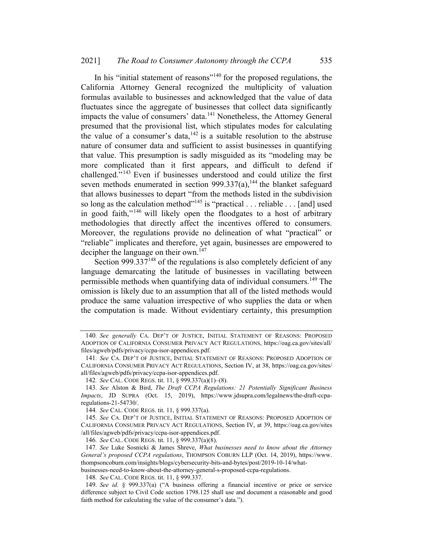In his "initial statement of reasons"<sup>140</sup> for the proposed regulations, the California Attorney General recognized the multiplicity of valuation formulas available to businesses and acknowledged that the value of data fluctuates since the aggregate of businesses that collect data significantly impacts the value of consumers' data.<sup>141</sup> Nonetheless, the Attorney General presumed that the provisional list, which stipulates modes for calculating the value of a consumer's data,  $142$  is a suitable resolution to the abstruse nature of consumer data and sufficient to assist businesses in quantifying that value. This presumption is sadly misguided as its "modeling may be more complicated than it first appears, and difficult to defend if challenged." <sup>143</sup> Even if businesses understood and could utilize the first seven methods enumerated in section  $999.337(a)$ ,<sup>144</sup> the blanket safeguard that allows businesses to depart "from the methods listed in the subdivision so long as the calculation method"<sup>145</sup> is "practical . . . reliable . . . [and] used in good faith,"<sup>146</sup> will likely open the floodgates to a host of arbitrary methodologies that directly affect the incentives offered to consumers. Moreover, the regulations provide no delineation of what "practical" or "reliable" implicates and therefore, yet again, businesses are empowered to decipher the language on their own.<sup>147</sup>

Section 999.337 $148$  of the regulations is also completely deficient of any language demarcating the latitude of businesses in vacillating between permissible methods when quantifying data of individual consumers.<sup>149</sup> The omission is likely due to an assumption that all of the listed methods would produce the same valuation irrespective of who supplies the data or when the computation is made. Without evidentiary certainty, this presumption

<sup>140.</sup> See generally CA. DEP'T OF JUSTICE, INITIAL STATEMENT OF REASONS: PROPOSED ADOPTION OF CALIFORNIA CONSUMER PRIVACY ACT REGULATIONS, https://oag.ca.gov/sites/all/ files/agweb/pdfs/privacy/ccpa-isor-appendices.pdf.

<sup>141</sup>. See CA. DEP'T OF JUSTICE, INITIAL STATEMENT OF REASONS: PROPOSED ADOPTION OF CALIFORNIA CONSUMER PRIVACY ACT REGULATIONS, Section IV, at 38, https://oag.ca.gov/sites/ all/files/agweb/pdfs/privacy/ccpa-isor-appendices.pdf.

<sup>142</sup>. See CAL. CODE REGS. tit. 11, § 999.337(a)(1)–(8).

<sup>143.</sup> See Alston & Bird, The Draft CCPA Regulations: 21 Potentially Significant Business Impacts, JD SUPRA (Oct. 15, 2019), https://www.jdsupra.com/legalnews/the-draft-ccparegulations-21-54730/.

<sup>144</sup>. See CAL. CODE REGS. tit. 11, § 999.337(a).

<sup>145</sup>. See CA. DEP'T OF JUSTICE, INITIAL STATEMENT OF REASONS: PROPOSED ADOPTION OF CALIFORNIA CONSUMER PRIVACY ACT REGULATIONS, Section IV, at 39, https://oag.ca.gov/sites /all/files/agweb/pdfs/privacy/ccpa-isor-appendices.pdf.

<sup>146</sup>. See CAL. CODE REGS. tit. 11, § 999.337(a)(8).

<sup>147.</sup> See Luke Sosnicki & James Shreve, What businesses need to know about the Attorney General's proposed CCPA regulations, THOMPSON COBURN LLP (Oct. 14, 2019), https://www. thompsoncoburn.com/insights/blogs/cybersecurity-bits-and-bytes/post/2019-10-14/whatbusinesses-need-to-know-about-the-attorney-general-s-proposed-ccpa-regulations.

<sup>148</sup>. See CAL. CODE REGS. tit. 11, § 999.337.

<sup>149</sup>. See id. § 999.337(a) ("A business offering a financial incentive or price or service difference subject to Civil Code section 1798.125 shall use and document a reasonable and good faith method for calculating the value of the consumer's data.").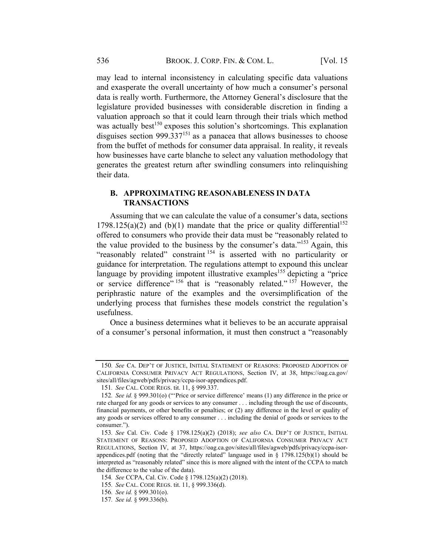may lead to internal inconsistency in calculating specific data valuations and exasperate the overall uncertainty of how much a consumer's personal data is really worth. Furthermore, the Attorney General's disclosure that the legislature provided businesses with considerable discretion in finding a valuation approach so that it could learn through their trials which method was actually best<sup>150</sup> exposes this solution's shortcomings. This explanation disguises section 999.337 $151$  as a panacea that allows businesses to choose from the buffet of methods for consumer data appraisal. In reality, it reveals how businesses have carte blanche to select any valuation methodology that generates the greatest return after swindling consumers into relinquishing their data.

## B. APPROXIMATING REASONABLENESS IN DATA TRANSACTIONS

Assuming that we can calculate the value of a consumer's data, sections 1798.125(a)(2) and (b)(1) mandate that the price or quality differential<sup>152</sup> offered to consumers who provide their data must be "reasonably related to the value provided to the business by the consumer's data."153 Again, this "reasonably related" constraint <sup>154</sup> is asserted with no particularity or guidance for interpretation. The regulations attempt to expound this unclear language by providing impotent illustrative examples<sup>155</sup> depicting a "price" or service difference" <sup>156</sup> that is "reasonably related." <sup>157</sup> However, the periphrastic nature of the examples and the oversimplification of the underlying process that furnishes these models constrict the regulation's usefulness.

Once a business determines what it believes to be an accurate appraisal of a consumer's personal information, it must then construct a "reasonably

<sup>150</sup>. See CA. DEP'T OF JUSTICE, INITIAL STATEMENT OF REASONS: PROPOSED ADOPTION OF CALIFORNIA CONSUMER PRIVACY ACT REGULATIONS, Section IV, at 38, https://oag.ca.gov/ sites/all/files/agweb/pdfs/privacy/ccpa-isor-appendices.pdf.

<sup>151</sup>. See CAL. CODE REGS. tit. 11, § 999.337.

<sup>152</sup>. See id. § 999.301(o) ("'Price or service difference' means (1) any difference in the price or rate charged for any goods or services to any consumer . . . including through the use of discounts, financial payments, or other benefits or penalties; or (2) any difference in the level or quality of any goods or services offered to any consumer . . . including the denial of goods or services to the consumer.").

<sup>153</sup>. See Cal. Civ. Code § 1798.125(a)(2) (2018); see also CA. DEP'T OF JUSTICE, INITIAL STATEMENT OF REASONS: PROPOSED ADOPTION OF CALIFORNIA CONSUMER PRIVACY ACT REGULATIONS, Section IV, at 37, https://oag.ca.gov/sites/all/files/agweb/pdfs/privacy/ccpa-isorappendices.pdf (noting that the "directly related" language used in  $\S$  1798.125(b)(1) should be interpreted as "reasonably related" since this is more aligned with the intent of the CCPA to match the difference to the value of the data).

<sup>154</sup>. See CCPA, Cal. Civ. Code § 1798.125(a)(2) (2018).

<sup>155</sup>. See CAL. CODE REGS. tit. 11, § 999.336(d).

<sup>156</sup>. See id. § 999.301(o).

<sup>157</sup>. See id. § 999.336(b).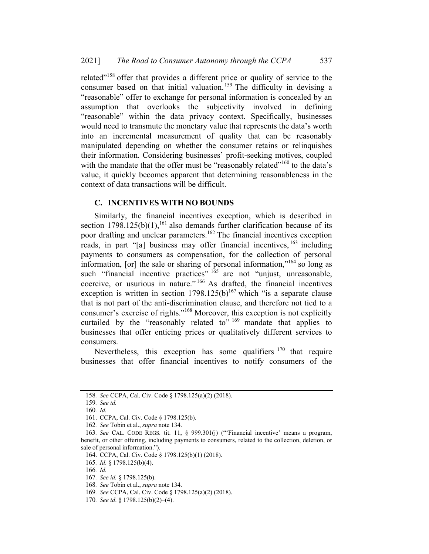related"<sup>158</sup> offer that provides a different price or quality of service to the consumer based on that initial valuation.<sup>159</sup> The difficulty in devising a "reasonable" offer to exchange for personal information is concealed by an assumption that overlooks the subjectivity involved in defining "reasonable" within the data privacy context. Specifically, businesses would need to transmute the monetary value that represents the data's worth into an incremental measurement of quality that can be reasonably manipulated depending on whether the consumer retains or relinquishes their information. Considering businesses' profit-seeking motives, coupled with the mandate that the offer must be "reasonably related"<sup>160</sup> to the data's value, it quickly becomes apparent that determining reasonableness in the context of data transactions will be difficult.

#### C. INCENTIVES WITH NO BOUNDS

Similarly, the financial incentives exception, which is described in section  $1798.125(b)(1)$ ,<sup>161</sup> also demands further clarification because of its poor drafting and unclear parameters.<sup>162</sup> The financial incentives exception reads, in part "[a] business may offer financial incentives, <sup>163</sup> including payments to consumers as compensation, for the collection of personal information, [or] the sale or sharing of personal information,"164 so long as such "financial incentive practices" <sup>165</sup> are not "unjust, unreasonable, coercive, or usurious in nature." <sup>166</sup> As drafted, the financial incentives exception is written in section  $1798.125(b)^{167}$  which "is a separate clause that is not part of the anti-discrimination clause, and therefore not tied to a consumer's exercise of rights."168 Moreover, this exception is not explicitly curtailed by the "reasonably related to"  $169$  mandate that applies to businesses that offer enticing prices or qualitatively different services to consumers.

Nevertheless, this exception has some qualifiers  $170$  that require businesses that offer financial incentives to notify consumers of the

<sup>158</sup>. See CCPA, Cal. Civ. Code § 1798.125(a)(2) (2018).

<sup>159</sup>. See id.

<sup>160</sup>. Id.

<sup>161.</sup> CCPA, Cal. Civ. Code § 1798.125(b).

<sup>162</sup>. See Tobin et al., supra note 134.

<sup>163</sup>. See CAL. CODE REGS. tit. 11, § 999.301(j) ("'Financial incentive' means a program, benefit, or other offering, including payments to consumers, related to the collection, deletion, or sale of personal information.").

<sup>164.</sup> CCPA, Cal. Civ. Code § 1798.125(b)(1) (2018).

<sup>165</sup>. Id. § 1798.125(b)(4).

<sup>166</sup>. Id.

<sup>167</sup>. See id. § 1798.125(b).

<sup>168</sup>. See Tobin et al., supra note 134.

<sup>169</sup>. See CCPA, Cal. Civ. Code § 1798.125(a)(2) (2018).

<sup>170</sup>. See id. § 1798.125(b)(2)–(4).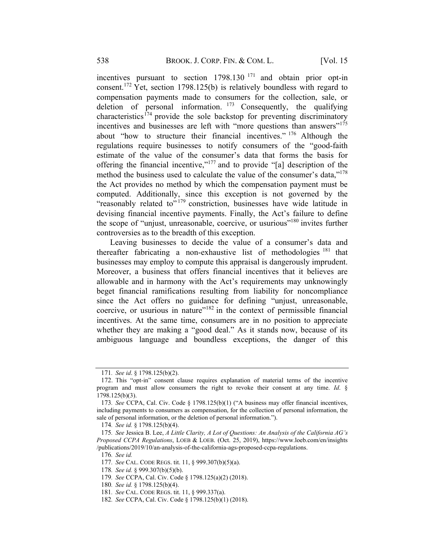incentives pursuant to section 1798.130 <sup>171</sup> and obtain prior opt-in consent.<sup>172</sup> Yet, section 1798.125(b) is relatively boundless with regard to compensation payments made to consumers for the collection, sale, or deletion of personal information. <sup>173</sup> Consequently, the qualifying characteristics<sup> $174$ </sup> provide the sole backstop for preventing discriminatory incentives and businesses are left with "more questions than answers"<sup>175</sup> about "how to structure their financial incentives." <sup>176</sup> Although the regulations require businesses to notify consumers of the "good-faith estimate of the value of the consumer's data that forms the basis for offering the financial incentive,"<sup>177</sup> and to provide "[a] description of the method the business used to calculate the value of the consumer's data,"<sup>178</sup> the Act provides no method by which the compensation payment must be computed. Additionally, since this exception is not governed by the "reasonably related to" 179 constriction, businesses have wide latitude in devising financial incentive payments. Finally, the Act's failure to define the scope of "unjust, unreasonable, coercive, or usurious"<sup>180</sup> invites further controversies as to the breadth of this exception.

Leaving businesses to decide the value of a consumer's data and thereafter fabricating a non-exhaustive list of methodologies  $181$  that businesses may employ to compute this appraisal is dangerously imprudent. Moreover, a business that offers financial incentives that it believes are allowable and in harmony with the Act's requirements may unknowingly beget financial ramifications resulting from liability for noncompliance since the Act offers no guidance for defining "unjust, unreasonable, coercive, or usurious in nature"<sup>182</sup> in the context of permissible financial incentives. At the same time, consumers are in no position to appreciate whether they are making a "good deal." As it stands now, because of its ambiguous language and boundless exceptions, the danger of this

- 178. See id. § 999.307(b)(5)(b).
- 179. See CCPA, Cal. Civ. Code § 1798.125(a)(2) (2018).

<sup>171</sup>. See id. § 1798.125(b)(2).

<sup>172.</sup> This "opt-in" consent clause requires explanation of material terms of the incentive program and must allow consumers the right to revoke their consent at any time. Id. § 1798.125(b)(3).

<sup>173</sup>. See CCPA, Cal. Civ. Code § 1798.125(b)(1) ("A business may offer financial incentives, including payments to consumers as compensation, for the collection of personal information, the sale of personal information, or the deletion of personal information.").

<sup>174</sup>. See id. § 1798.125(b)(4).

<sup>175</sup>. See Jessica B. Lee, A Little Clarity, A Lot of Questions: An Analysis of the California AG's Proposed CCPA Regulations, LOEB & LOEB. (Oct. 25, 2019), https://www.loeb.com/en/insights /publications/2019/10/an-analysis-of-the-california-ags-proposed-ccpa-regulations.

<sup>176</sup>. See id.

<sup>177</sup>. See CAL. CODE REGS. tit. 11, § 999.307(b)(5)(a).

<sup>180</sup>. See id. § 1798.125(b)(4).

<sup>181</sup>. See CAL. CODE REGS. tit. 11, § 999.337(a).

<sup>182</sup>. See CCPA, Cal. Civ. Code § 1798.125(b)(1) (2018).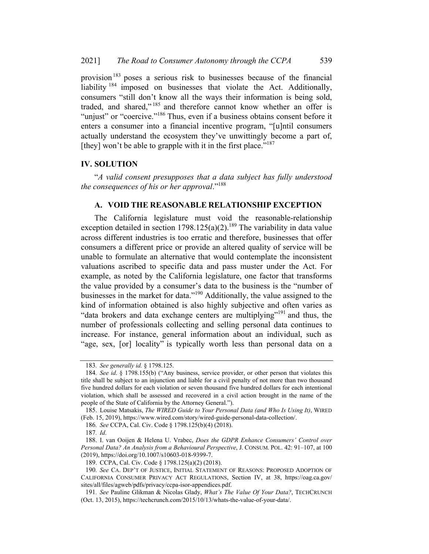provision<sup>183</sup> poses a serious risk to businesses because of the financial liability <sup>184</sup> imposed on businesses that violate the Act. Additionally, consumers "still don't know all the ways their information is being sold, traded, and shared,"<sup>185</sup> and therefore cannot know whether an offer is "unjust" or "coercive."<sup>186</sup> Thus, even if a business obtains consent before it enters a consumer into a financial incentive program, "[u]ntil consumers actually understand the ecosystem they've unwittingly become a part of, [they] won't be able to grapple with it in the first place."<sup>187</sup>

#### IV. SOLUTION

"A valid consent presupposes that a data subject has fully understood the consequences of his or her approval." $188$ 

#### A. VOID THE REASONABLE RELATIONSHIP EXCEPTION

The California legislature must void the reasonable-relationship exception detailed in section 1798.125(a)(2).<sup>189</sup> The variability in data value across different industries is too erratic and therefore, businesses that offer consumers a different price or provide an altered quality of service will be unable to formulate an alternative that would contemplate the inconsistent valuations ascribed to specific data and pass muster under the Act. For example, as noted by the California legislature, one factor that transforms the value provided by a consumer's data to the business is the "number of businesses in the market for data."<sup>190</sup> Additionally, the value assigned to the kind of information obtained is also highly subjective and often varies as "data brokers and data exchange centers are multiplying"<sup>191</sup> and thus, the number of professionals collecting and selling personal data continues to increase. For instance, general information about an individual, such as "age, sex, [or] locality" is typically worth less than personal data on a

<sup>183</sup>. See generally id. § 1798.125.

<sup>184</sup>. See id. § 1798.155(b) ("Any business, service provider, or other person that violates this title shall be subject to an injunction and liable for a civil penalty of not more than two thousand five hundred dollars for each violation or seven thousand five hundred dollars for each intentional violation, which shall be assessed and recovered in a civil action brought in the name of the people of the State of California by the Attorney General.").

<sup>185.</sup> Louise Matsakis, The WIRED Guide to Your Personal Data (and Who Is Using It), WIRED (Feb. 15, 2019), https://www.wired.com/story/wired-guide-personal-data-collection/.

<sup>186</sup>. See CCPA, Cal. Civ. Code § 1798.125(b)(4) (2018).

<sup>187</sup>. Id.

<sup>188.</sup> I. van Ooijen & Helena U. Vrabec, Does the GDPR Enhance Consumers' Control over Personal Data? An Analysis from a Behavioural Perspective, J. CONSUM. POL. 42: 91–107, at 100 (2019), https://doi.org/10.1007/s10603-018-9399-7.

<sup>189.</sup> CCPA, Cal. Civ. Code § 1798.125(a)(2) (2018).

<sup>190</sup>. See CA. DEP'T OF JUSTICE, INITIAL STATEMENT OF REASONS: PROPOSED ADOPTION OF CALIFORNIA CONSUMER PRIVACY ACT REGULATIONS, Section IV, at 38, https://oag.ca.gov/ sites/all/files/agweb/pdfs/privacy/ccpa-isor-appendices.pdf.

<sup>191.</sup> See Pauline Glikman & Nicolas Glady, What's The Value Of Your Data?, TECHCRUNCH (Oct. 13, 2015), https://techcrunch.com/2015/10/13/whats-the-value-of-your-data/.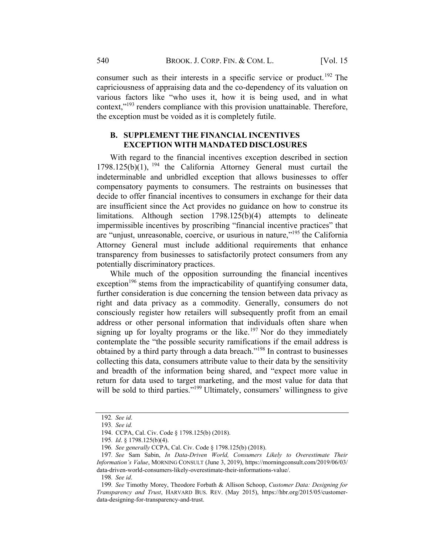consumer such as their interests in a specific service or product.<sup>192</sup> The capriciousness of appraising data and the co-dependency of its valuation on various factors like "who uses it, how it is being used, and in what context,"<sup>193</sup> renders compliance with this provision unattainable. Therefore, the exception must be voided as it is completely futile.

## B. SUPPLEMENT THE FINANCIAL INCENTIVES EXCEPTION WITH MANDATED DISCLOSURES

With regard to the financial incentives exception described in section  $1798.125(b)(1)$ , <sup>194</sup> the California Attorney General must curtail the indeterminable and unbridled exception that allows businesses to offer compensatory payments to consumers. The restraints on businesses that decide to offer financial incentives to consumers in exchange for their data are insufficient since the Act provides no guidance on how to construe its limitations. Although section 1798.125(b)(4) attempts to delineate impermissible incentives by proscribing "financial incentive practices" that are "unjust, unreasonable, coercive, or usurious in nature,"195 the California Attorney General must include additional requirements that enhance transparency from businesses to satisfactorily protect consumers from any potentially discriminatory practices.

While much of the opposition surrounding the financial incentives exception<sup>196</sup> stems from the impracticability of quantifying consumer data, further consideration is due concerning the tension between data privacy as right and data privacy as a commodity. Generally, consumers do not consciously register how retailers will subsequently profit from an email address or other personal information that individuals often share when signing up for loyalty programs or the like.<sup>197</sup> Nor do they immediately contemplate the "the possible security ramifications if the email address is obtained by a third party through a data breach."198 In contrast to businesses collecting this data, consumers attribute value to their data by the sensitivity and breadth of the information being shared, and "expect more value in return for data used to target marketing, and the most value for data that will be sold to third parties."<sup>199</sup> Ultimately, consumers' willingness to give

198. See id.

<sup>192</sup>. See id.

<sup>193</sup>. See id.

<sup>194.</sup> CCPA, Cal. Civ. Code § 1798.125(b) (2018).

<sup>195</sup>. Id. § 1798.125(b)(4).

<sup>196</sup>. See generally CCPA, Cal. Civ. Code § 1798.125(b) (2018).

<sup>197</sup>. See Sam Sabin, In Data-Driven World, Consumers Likely to Overestimate Their Information's Value, MORNING CONSULT (June 3, 2019), https://morningconsult.com/2019/06/03/ data-driven-world-consumers-likely-overestimate-their-informations-value/.

<sup>199.</sup> See Timothy Morey, Theodore Forbath & Allison Schoop, Customer Data: Designing for Transparency and Trust, HARVARD BUS. REV. (May 2015), https://hbr.org/2015/05/customerdata-designing-for-transparency-and-trust.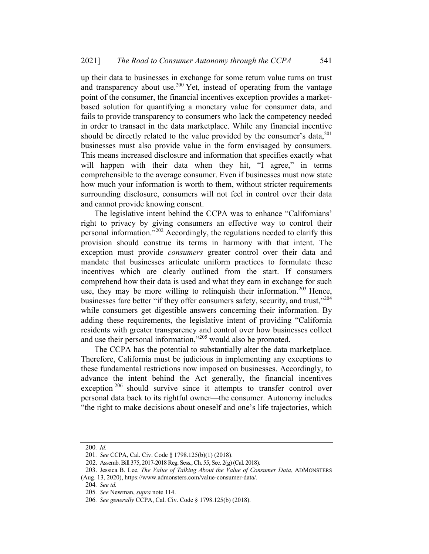up their data to businesses in exchange for some return value turns on trust and transparency about use.<sup>200</sup> Yet, instead of operating from the vantage point of the consumer, the financial incentives exception provides a marketbased solution for quantifying a monetary value for consumer data, and fails to provide transparency to consumers who lack the competency needed in order to transact in the data marketplace. While any financial incentive should be directly related to the value provided by the consumer's data, 201 businesses must also provide value in the form envisaged by consumers. This means increased disclosure and information that specifies exactly what will happen with their data when they hit, "I agree," in terms comprehensible to the average consumer. Even if businesses must now state how much your information is worth to them, without stricter requirements surrounding disclosure, consumers will not feel in control over their data and cannot provide knowing consent.

The legislative intent behind the CCPA was to enhance "Californians' right to privacy by giving consumers an effective way to control their personal information."202 Accordingly, the regulations needed to clarify this provision should construe its terms in harmony with that intent. The exception must provide *consumers* greater control over their data and mandate that businesses articulate uniform practices to formulate these incentives which are clearly outlined from the start. If consumers comprehend how their data is used and what they earn in exchange for such use, they may be more willing to relinquish their information.<sup>203</sup> Hence, businesses fare better "if they offer consumers safety, security, and trust,"<sup>204</sup> while consumers get digestible answers concerning their information. By adding these requirements, the legislative intent of providing "California residents with greater transparency and control over how businesses collect and use their personal information,"<sup>205</sup> would also be promoted.

The CCPA has the potential to substantially alter the data marketplace. Therefore, California must be judicious in implementing any exceptions to these fundamental restrictions now imposed on businesses. Accordingly, to advance the intent behind the Act generally, the financial incentives exception<sup>206</sup> should survive since it attempts to transfer control over personal data back to its rightful owner—the consumer. Autonomy includes "the right to make decisions about oneself and one's life trajectories, which

 $200.$   $\overline{Id}$ .

<sup>201</sup>. See CCPA, Cal. Civ. Code § 1798.125(b)(1) (2018).

<sup>202.</sup> Assemb.Bill 375, 2017-2018Reg. Sess.,Ch. 55, Sec. 2(g)(Cal. 2018).

<sup>203.</sup> Jessica B. Lee, The Value of Talking About the Value of Consumer Data, ADMONSTERS

<sup>(</sup>Aug. 13, 2020), https://www.admonsters.com/value-consumer-data/.

<sup>204</sup>. See id.

<sup>205</sup>. See Newman, supra note 114.

<sup>206</sup>. See generally CCPA, Cal. Civ. Code § 1798.125(b) (2018).